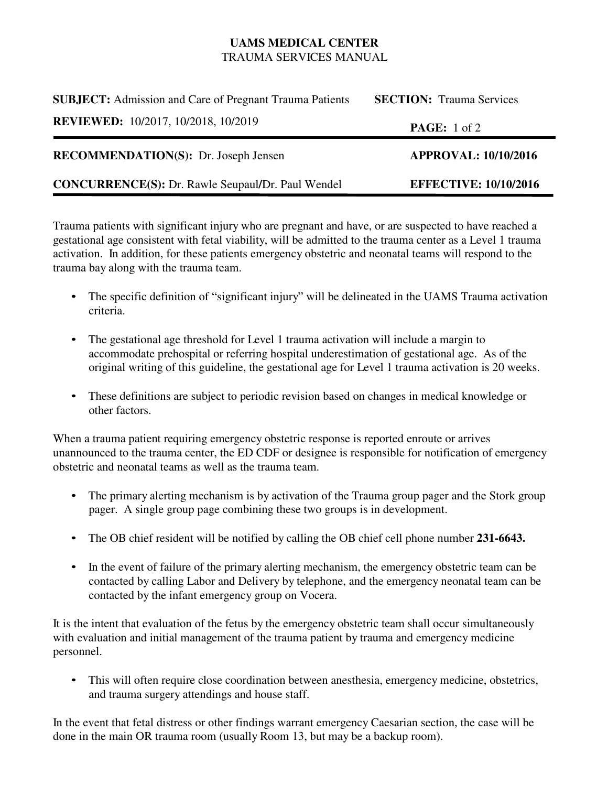## **UAMS MEDICAL CENTER** TRAUMA SERVICES MANUAL

| <b>SUBJECT:</b> Admission and Care of Pregnant Trauma Patients | <b>SECTION:</b> Trauma Services |
|----------------------------------------------------------------|---------------------------------|
| <b>REVIEWED:</b> 10/2017, 10/2018, 10/2019                     | <b>PAGE:</b> 1 of 2             |
| <b>RECOMMENDATION(S):</b> Dr. Joseph Jensen                    | <b>APPROVAL: 10/10/2016</b>     |
| <b>CONCURRENCE(S): Dr. Rawle Seupaul/Dr. Paul Wendel</b>       | <b>EFFECTIVE: 10/10/2016</b>    |

Trauma patients with significant injury who are pregnant and have, or are suspected to have reached a gestational age consistent with fetal viability, will be admitted to the trauma center as a Level 1 trauma activation. In addition, for these patients emergency obstetric and neonatal teams will respond to the trauma bay along with the trauma team.

- The specific definition of "significant injury" will be delineated in the UAMS Trauma activation criteria.
- The gestational age threshold for Level 1 trauma activation will include a margin to accommodate prehospital or referring hospital underestimation of gestational age. As of the original writing of this guideline, the gestational age for Level 1 trauma activation is 20 weeks.
- These definitions are subject to periodic revision based on changes in medical knowledge or other factors.

When a trauma patient requiring emergency obstetric response is reported enroute or arrives unannounced to the trauma center, the ED CDF or designee is responsible for notification of emergency obstetric and neonatal teams as well as the trauma team.

- The primary alerting mechanism is by activation of the Trauma group pager and the Stork group pager. A single group page combining these two groups is in development.
- The OB chief resident will be notified by calling the OB chief cell phone number **231-6643.**
- In the event of failure of the primary alerting mechanism, the emergency obstetric team can be contacted by calling Labor and Delivery by telephone, and the emergency neonatal team can be contacted by the infant emergency group on Vocera.

It is the intent that evaluation of the fetus by the emergency obstetric team shall occur simultaneously with evaluation and initial management of the trauma patient by trauma and emergency medicine personnel.

• This will often require close coordination between anesthesia, emergency medicine, obstetrics, and trauma surgery attendings and house staff.

In the event that fetal distress or other findings warrant emergency Caesarian section, the case will be done in the main OR trauma room (usually Room 13, but may be a backup room).